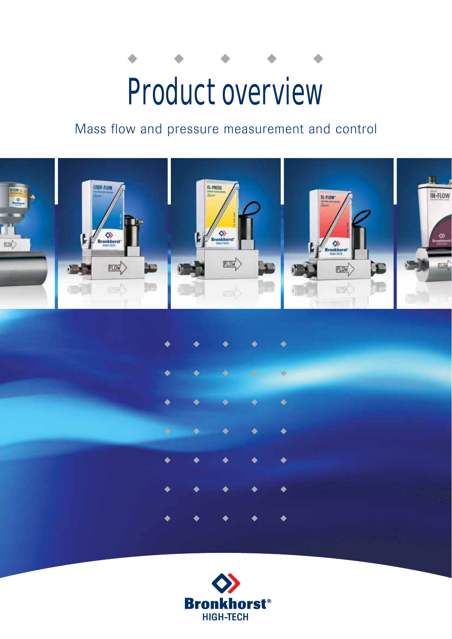# Product overview

# Mass flow and pressure measurement and control



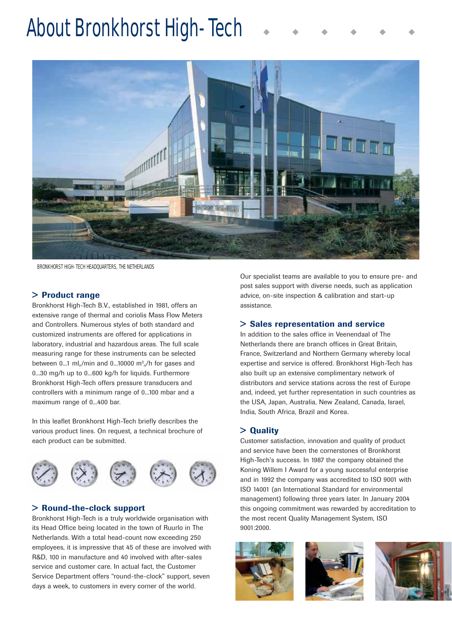# About Bronkhorst High-Tech



BRONKHORST HIGH-TECH HEADQUARTERS, THE NETHERLANDS

# > Product range

Bronkhorst High-Tech B.V., established in 1981, offers an extensive range of thermal and coriolis Mass Flow Meters and Controllers. Numerous styles of both standard and customized instruments are offered for applications in laboratory, industrial and hazardous areas. The full scale measuring range for these instruments can be selected between 0...1 ml<sub>n</sub>/min and 0...10000 m<sup>3</sup><sub>n</sub>/h for gases and 0...30 mg/h up to 0...600 kg/h for liquids. Furthermore Bronkhorst High-Tech offers pressure transducers and controllers with a minimum range of 0...100 mbar and a maximum range of 0...400 bar.

In this leaflet Bronkhorst High-Tech briefly describes the various product lines. On request, a technical brochure of each product can be submitted.



# > Round-the-clock support

Bronkhorst High-Tech is a truly worldwide organisation with its Head Office being located in the town of Ruurlo in The Netherlands. With a total head-count now exceeding 250 employees, it is impressive that 45 of these are involved with R&D, 100 in manufacture and 40 involved with after-sales service and customer care. In actual fact, the Customer Service Department offers "round-the-clock" support, seven days a week, to customers in every corner of the world.

Our specialist teams are available to you to ensure pre- and post sales support with diverse needs, such as application advice, on-site inspection & calibration and start-up assistance.

# > Sales representation and service

In addition to the sales office in Veenendaal of The Netherlands there are branch offices in Great Britain, France, Switzerland and Northern Germany whereby local expertise and service is offered. Bronkhorst High-Tech has also built up an extensive complimentary network of distributors and service stations across the rest of Europe and, indeed, yet further representation in such countries as the USA, Japan, Australia, New Zealand, Canada, Israel, India, South Africa, Brazil and Korea.

# > Quality

Customer satisfaction, innovation and quality of product and service have been the cornerstones of Bronkhorst High-Tech's success. In 1987 the company obtained the Koning Willem I Award for a young successful enterprise and in 1992 the company was accredited to ISO 9001 with ISO 14001 (an International Standard for environmental management) following three years later. In January 2004 this ongoing commitment was rewarded by accreditation to the most recent Quality Management System, ISO 9001:2000.





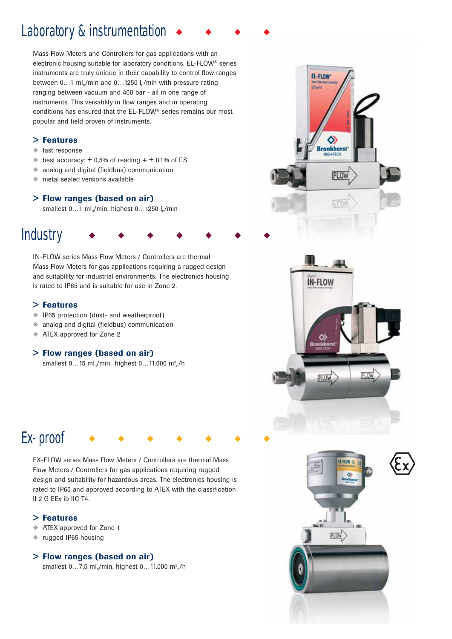# Laboratory & instrumentation

Mass Flow Meters and Controllers for gas applications with an electronic housing suitable for laboratory conditions. EL-FLOW® series instruments are truly unique in their capability to control flow ranges between  $0...1$  ml<sub>n</sub>/min and  $0...1250$  l<sub>n</sub>/min with pressure rating ranging between vacuum and 400 bar - all in one range of instruments. This versatility in flow ranges and in operating conditions has ensured that the EL-FLOW® series remains our most popular and field proven of instruments.

# > Features

- ◆ fast response
- $\blacklozenge$  best accuracy:  $\pm$  0,5% of reading  $+ \pm$  0,1% of F.S.
- ◆ analog and digital (fieldbus) communication
- ◆ metal sealed versions available

# > Flow ranges (based on air)

smallest  $0...1$  ml<sub>n</sub>/min, highest  $0...1250$  l<sub>n</sub>/min

# **Industry**

IN-FLOW series Mass Flow Meters / Controllers are thermal Mass Flow Meters for gas applications requiring a rugged design and suitability for industrial environments. The electronics housing is rated to IP65 and is suitable for use in Zone 2.

# > Features

- ◆ IP65 protection (dust- and weatherproof)
- ◆ analog and digital (fieldbus) communication
- ◆ ATEX approved for Zone 2

# > Flow ranges (based on air)

smallest 0...15 ml<sub>n</sub>/min, highest 0...11.000 m<sup>3</sup><sub>n</sub>/h



EL-FLOW **Glass** 

> 0) **Bronkhors** HIGHLTECK

# Ex-proof

EX-FLOW series Mass Flow Meters / Controllers are thermal Mass Flow Meters / Controllers for gas applications requiring rugged design and suitability for hazardous areas. The electronics housing is rated to IP65 and approved according to ATEX with the classification II 2 G EEx ib IIC T4.

# > Features

- ATEX approved for Zone 1
- ◆ rugged IP65 housing

# > Flow ranges (based on air)

smallest 0...7,5 ml $_{\sf n}$ /min, highest 0...11.000 m $^{\rm 3}$ <sub>n</sub>/h

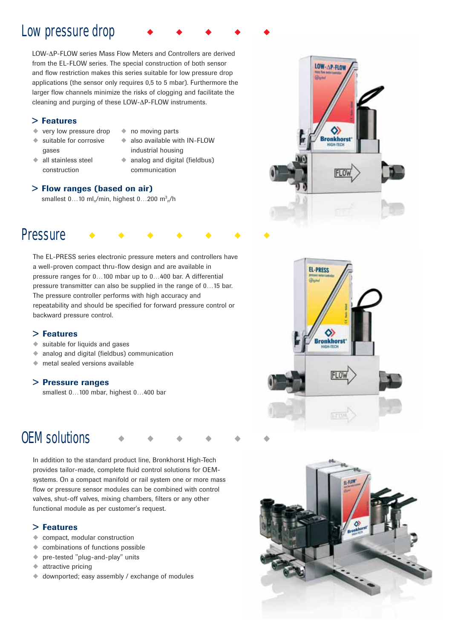# Low pressure drop

LOW-ΔP-FLOW series Mass Flow Meters and Controllers are derived from the EL-FLOW series. The special construction of both sensor and flow restriction makes this series suitable for low pressure drop applications (the sensor only requires 0,5 to 5 mbar). Furthermore the larger flow channels minimize the risks of clogging and facilitate the cleaning and purging of these LOW-ΔP-FLOW instruments.

# > Features

- ◆ very low pressure drop
- ◆ no moving parts
- ◆ suitable for corrosive
- 
- gases
- also available with IN-FLOW industrial housing
- ◆ all stainless steel construction
- ◆ analog and digital (fieldbus)
- communication

# > Flow ranges (based on air)

smallest  $0...10$  ml<sub>n</sub>/min, highest  $0...200$  m<sup>3</sup><sub>n</sub>/h

# **Pressure**

The EL-PRESS series electronic pressure meters and controllers have a well-proven compact thru-flow design and are available in pressure ranges for 0…100 mbar up to 0…400 bar. A differential pressure transmitter can also be supplied in the range of 0…15 bar. The pressure controller performs with high accuracy and repeatability and should be specified for forward pressure control or backward pressure control.

# > Features

- suitable for liquids and gases
- ◆ analog and digital (fieldbus) communication
- ◆ metal sealed versions available

# > Pressure ranges

smallest 0…100 mbar, highest 0…400 bar

# OEM solutions

In addition to the standard product line, Bronkhorst High-Tech provides tailor-made, complete fluid control solutions for OEMsystems. On a compact manifold or rail system one or more mass flow or pressure sensor modules can be combined with control valves, shut-off valves, mixing chambers, filters or any other functional module as per customer's request.

# > Features

- ◆ compact, modular construction
- ◆ combinations of functions possible
- ◆ pre-tested "plug-and-play" units
- ◆ attractive pricing
- ◆ downported; easy assembly / exchange of modules





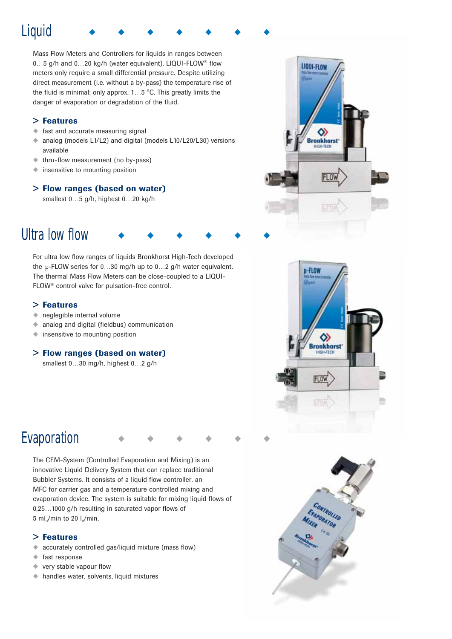# **Liquid**

Mass Flow Meters and Controllers for liquids in ranges between 0…5 g/h and 0…20 kg/h (water equivalent). LIQUI-FLOW® flow meters only require a small differential pressure. Despite utilizing direct measurement (i.e. without a by-pass) the temperature rise of the fluid is minimal; only approx. 1…5 °C. This greatly limits the danger of evaporation or degradation of the fluid.

# > Features

- ◆ fast and accurate measuring signal
- ◆ analog (models L1/L2) and digital (models L10/L20/L30) versions available
- ◆ thru-flow measurement (no by-pass)
- ◆ insensitive to mounting position

# > Flow ranges (based on water)

smallest 0…5 g/h, highest 0…20 kg/h

# Ultra low flow

For ultra low flow ranges of liquids Bronkhorst High-Tech developed the μ-FLOW series for 0…30 mg/h up to 0…2 g/h water equivalent. The thermal Mass Flow Meters can be close-coupled to a LIQUI-FLOW® control valve for pulsation-free control.

# > Features

- $\bullet$  neglegible internal volume
- ◆ analog and digital (fieldbus) communication
- ◆ insensitive to mounting position

# > Flow ranges (based on water)

smallest 0…30 mg/h, highest 0…2 g/h





# Evaporation

The CEM-System (Controlled Evaporation and Mixing) is an innovative Liquid Delivery System that can replace traditional Bubbler Systems. It consists of a liquid flow controller, an MFC for carrier gas and a temperature controlled mixing and evaporation device. The system is suitable for mixing liquid flows of 0,25…1000 g/h resulting in saturated vapor flows of  $5$  ml<sub>n</sub>/min to 20 l<sub>n</sub>/min.

# > Features

- ◆ accurately controlled gas/liquid mixture (mass flow)
- ◆ fast response
- ◆ very stable vapour flow
- ◆ handles water, solvents, liquid mixtures

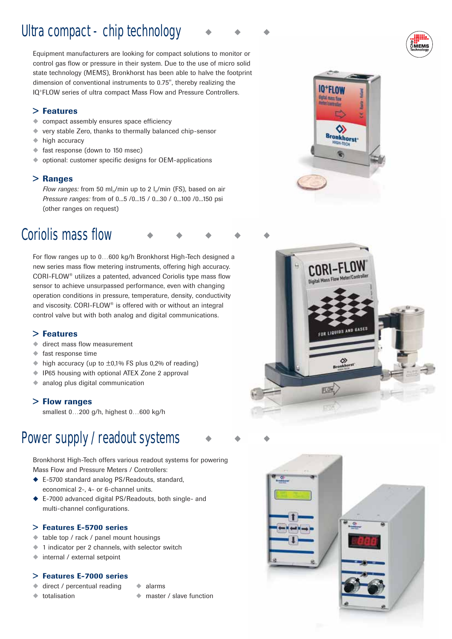# Ultra compact - chip technology

Equipment manufacturers are looking for compact solutions to monitor or control gas flow or pressure in their system. Due to the use of micro solid state technology (MEMS), Bronkhorst has been able to halve the footprint dimension of conventional instruments to 0.75", thereby realizing the IQ+FLOW series of ultra compact Mass Flow and Pressure Controllers.

# > Features

- ◆ compact assembly ensures space efficiency
- ◆ very stable Zero, thanks to thermally balanced chip-sensor
- ◆ high accuracy
- ◆ fast response (down to 150 msec)
- ◆ optional: customer specific designs for OEM-applications

# > Ranges

*Flow ranges:* from 50 ml<sub>n</sub>/min up to 2 l<sub>n</sub>/min (FS), based on air *Pressure ranges:* from of 0...5 /0...15 / 0...30 / 0...100 /0...150 psi (other ranges on request)

# Coriolis mass flow

For flow ranges up to 0…600 kg/h Bronkhorst High-Tech designed a new series mass flow metering instruments, offering high accuracy. CORI-FLOW® utilizes a patented, advanced Coriolis type mass flow sensor to achieve unsurpassed performance, even with changing operation conditions in pressure, temperature, density, conductivity and viscosity. CORI-FLOW® is offered with or without an integral control valve but with both analog and digital communications.

# > Features

- ◆ direct mass flow measurement
- ◆ fast response time
- $\bullet$  high accuracy (up to  $\pm$ 0,1% FS plus 0,2% of reading)
- ◆ IP65 housing with optional ATEX Zone 2 approval
- ◆ analog plus digital communication

# > Flow ranges

smallest 0…200 g/h, highest 0…600 kg/h

# Power supply / readout systems

Bronkhorst High-Tech offers various readout systems for powering Mass Flow and Pressure Meters / Controllers:

- ◆ E-5700 standard analog PS/Readouts, standard, economical 2-, 4- or 6-channel units.
- ◆ E-7000 advanced digital PS/Readouts, both single- and multi-channel configurations.

# > Features E-5700 series

- ◆ table top / rack / panel mount housings
- ◆ 1 indicator per 2 channels, with selector switch
- ◆ internal / external setpoint

# > Features E-7000 series

direct / percentual reading

◆ totalisation

◆ alarms ◆ master / slave function







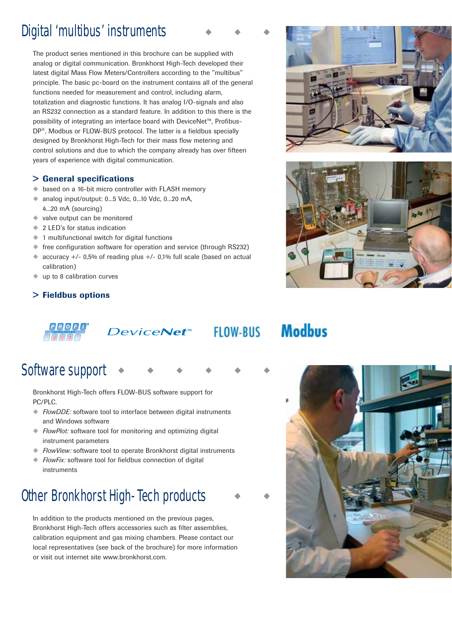# Digital 'multibus' instruments

The product series mentioned in this brochure can be supplied with analog or digital communication. Bronkhorst High-Tech developed their latest digital Mass Flow Meters/Controllers according to the "multibus" principle. The basic pc-board on the instrument contains all of the general functions needed for measurement and control, including alarm, totalization and diagnostic functions. It has analog I/O-signals and also an RS232 connection as a standard feature. In addition to this there is the possibility of integrating an interface board with DeviceNet™, Profibus-DP®, Modbus or FLOW-BUS protocol. The latter is a fieldbus specially designed by Bronkhorst High-Tech for their mass flow metering and control solutions and due to which the company already has over fifteen years of experience with digital communication.

# > General specifications

- ◆ based on a 16-bit micro controller with FLASH memory
- ◆ analog input/output: 0...5 Vdc, 0...10 Vdc, 0...20 mA, 4...20 mA (sourcing)
- ◆ valve output can be monitored
- ◆ 2 LED's for status indication
- ◆ 1 multifunctional switch for digital functions
- ◆ free configuration software for operation and service (through RS232)
- ◆ accuracy +/- 0,5% of reading plus +/- 0,1% full scale (based on actual calibration)
- up to 8 calibration curves

# > Fieldbus options



# DeviceNet<sup>™</sup> FLOW-BUS

# **Modbus**

Software support

Bronkhorst High-Tech offers FLOW-BUS software support for PC/PLC.

- ◆ *FlowDDE:* software tool to interface between digital instruments and Windows software
- ◆ *FlowPlot:* software tool for monitoring and optimizing digital instrument parameters
- ◆ *FlowView:* software tool to operate Bronkhorst digital instruments
- ◆ *FlowFix:* software tool for fieldbus connection of digital instruments

# Other Bronkhorst High-Tech products

In addition to the products mentioned on the previous pages, Bronkhorst High-Tech offers accessories such as filter assemblies, calibration equipment and gas mixing chambers. Please contact our local representatives (see back of the brochure) for more information or visit out internet site www.bronkhorst.com.